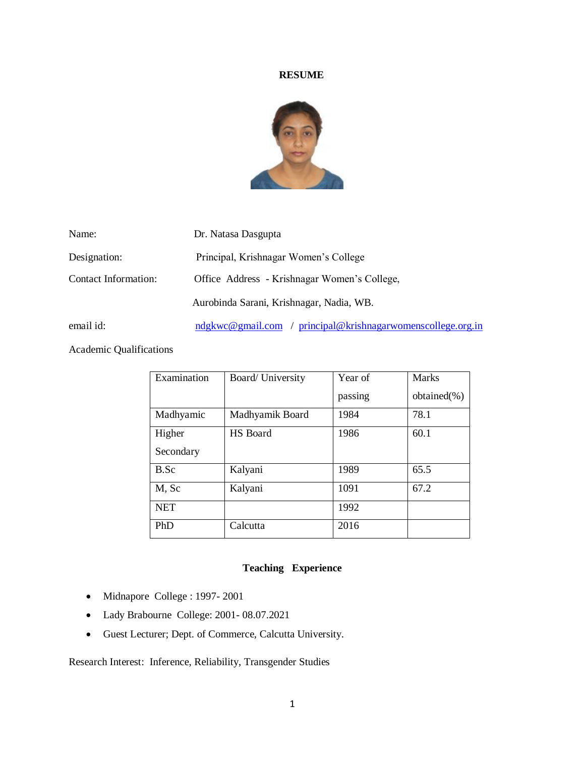#### **RESUME**



| Name:                | Dr. Natasa Dasgupta                                         |
|----------------------|-------------------------------------------------------------|
| Designation:         | Principal, Krishnagar Women's College                       |
| Contact Information: | Office Address - Krishnagar Women's College,                |
|                      | Aurobinda Sarani, Krishnagar, Nadia, WB.                    |
| email id:            | ndgkwc@gmail.com / principal@krishnagarwomenscollege.org.in |

Academic Qualifications

| Examination | Board/ University | Year of | <b>Marks</b>   |
|-------------|-------------------|---------|----------------|
|             |                   | passing | $obtained(\%)$ |
| Madhyamic   | Madhyamik Board   | 1984    | 78.1           |
| Higher      | HS Board          | 1986    | 60.1           |
| Secondary   |                   |         |                |
| B.Sc        | Kalyani           | 1989    | 65.5           |
| M, Sc       | Kalyani           | 1091    | 67.2           |
| <b>NET</b>  |                   | 1992    |                |
| PhD         | Calcutta          | 2016    |                |

#### **Teaching Experience**

- Midnapore College : 1997-2001
- Lady Brabourne College: 2001- 08.07.2021
- Guest Lecturer; Dept. of Commerce, Calcutta University.

Research Interest: Inference, Reliability, Transgender Studies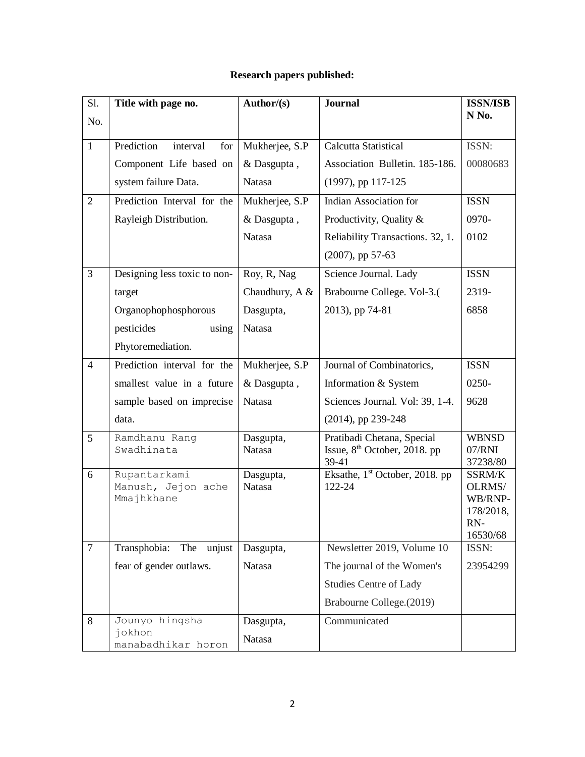# **Research papers published:**

| S1.            | Title with page no.              | Author/ $(s)$  | <b>Journal</b>                             | <b>ISSN/ISB</b>    |
|----------------|----------------------------------|----------------|--------------------------------------------|--------------------|
| No.            |                                  |                |                                            | N No.              |
| $\mathbf{1}$   | Prediction<br>interval<br>for    | Mukherjee, S.P | Calcutta Statistical                       | ISSN:              |
|                | Component Life based on          | & Dasgupta,    | Association Bulletin. 185-186.             | 00080683           |
|                | system failure Data.             | Natasa         | (1997), pp 117-125                         |                    |
| $\overline{2}$ | Prediction Interval for the      | Mukherjee, S.P | <b>Indian Association for</b>              | <b>ISSN</b>        |
|                | Rayleigh Distribution.           | & Dasgupta,    | Productivity, Quality &                    | 0970-              |
|                |                                  | <b>Natasa</b>  | Reliability Transactions. 32, 1.           | 0102               |
|                |                                  |                | $(2007)$ , pp 57-63                        |                    |
| 3              | Designing less toxic to non-     | Roy, R, Nag    | Science Journal. Lady                      | <b>ISSN</b>        |
|                | target                           | Chaudhury, A & | Brabourne College. Vol-3.(                 | 2319-              |
|                | Organophophosphorous             | Dasgupta,      | 2013), pp 74-81                            | 6858               |
|                | pesticides<br>using              | Natasa         |                                            |                    |
|                | Phytoremediation.                |                |                                            |                    |
| $\overline{4}$ | Prediction interval for the      | Mukherjee, S.P | Journal of Combinatorics,                  | <b>ISSN</b>        |
|                | smallest value in a future       | & Dasgupta,    | Information & System                       | 0250-              |
|                | sample based on imprecise        | Natasa         | Sciences Journal. Vol: 39, 1-4.            | 9628               |
|                | data.                            |                | (2014), pp 239-248                         |                    |
| 5              | Ramdhanu Rang<br>Swadhinata      | Dasgupta,      | Pratibadi Chetana, Special                 | <b>WBNSD</b>       |
|                |                                  | Natasa         | Issue, $8th$ October, 2018. pp<br>39-41    | 07/RNI<br>37238/80 |
| 6              | Rupantarkami                     | Dasgupta,      | Eksathe, 1 <sup>st</sup> October, 2018. pp | SSRM/K             |
|                | Manush, Jejon ache<br>Mmajhkhane | <b>Natasa</b>  | 122-24                                     | OLRMS/<br>WB/RNP-  |
|                |                                  |                |                                            | 178/2018,          |
|                |                                  |                |                                            | RN-<br>16530/68    |
| $\overline{7}$ | Transphobia:<br>unjust<br>The    | Dasgupta,      | Newsletter 2019, Volume 10                 | ISSN:              |
|                | fear of gender outlaws.          | Natasa         | The journal of the Women's                 | 23954299           |
|                |                                  |                | <b>Studies Centre of Lady</b>              |                    |
|                |                                  |                | Brabourne College.(2019)                   |                    |
| $8\,$          | Jounyo hingsha                   | Dasgupta,      | Communicated                               |                    |
|                | jokhon<br>manabadhikar horon     | <b>Natasa</b>  |                                            |                    |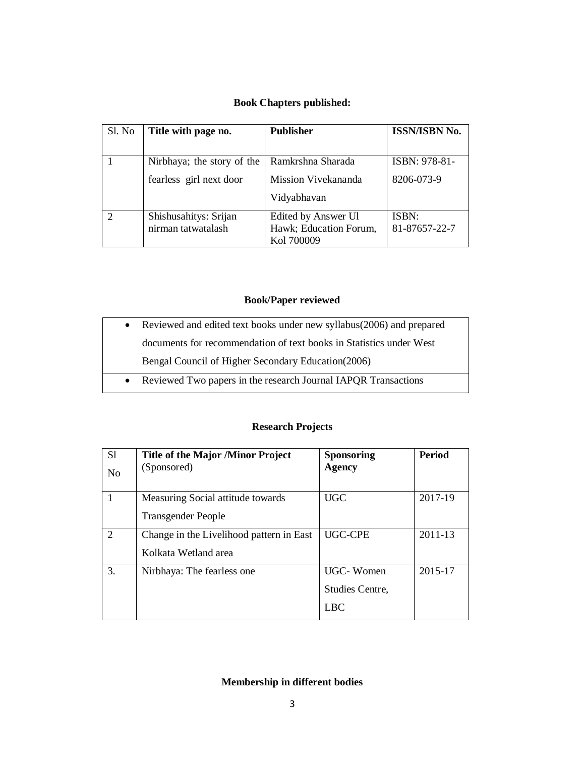# **Book Chapters published:**

| Sl. No | Title with page no.                                   | <b>Publisher</b>                                            | <b>ISSN/ISBN No.</b>        |
|--------|-------------------------------------------------------|-------------------------------------------------------------|-----------------------------|
|        | Nirbhaya; the story of the<br>fearless girl next door | Ramkrshna Sharada<br>Mission Vivekananda                    | ISBN: 978-81-<br>8206-073-9 |
|        |                                                       | Vidyabhavan                                                 |                             |
|        | Shishusahitys: Srijan<br>nirman tatwatalash           | Edited by Answer Ul<br>Hawk; Education Forum,<br>Kol 700009 | ISBN:<br>81-87657-22-7      |

## **Book/Paper reviewed**

| • Reviewed Two papers in the research Journal IAPQR Transactions        |
|-------------------------------------------------------------------------|
| Bengal Council of Higher Secondary Education (2006)                     |
| documents for recommendation of text books in Statistics under West     |
| • Reviewed and edited text books under new syllabus (2006) and prepared |

## **Research Projects**

| S1<br>N <sub>o</sub> | Title of the Major /Minor Project<br>(Sponsored)                 | <b>Sponsoring</b><br>Agency                | <b>Period</b> |
|----------------------|------------------------------------------------------------------|--------------------------------------------|---------------|
|                      | Measuring Social attitude towards<br><b>Transgender People</b>   | <b>UGC</b>                                 | 2017-19       |
| 2                    | Change in the Livelihood pattern in East<br>Kolkata Wetland area | UGC-CPE                                    | $2011 - 13$   |
| 3.                   | Nirbhaya: The fearless one                                       | UGC-Women<br>Studies Centre,<br><b>LBC</b> | 2015-17       |

# **Membership in different bodies**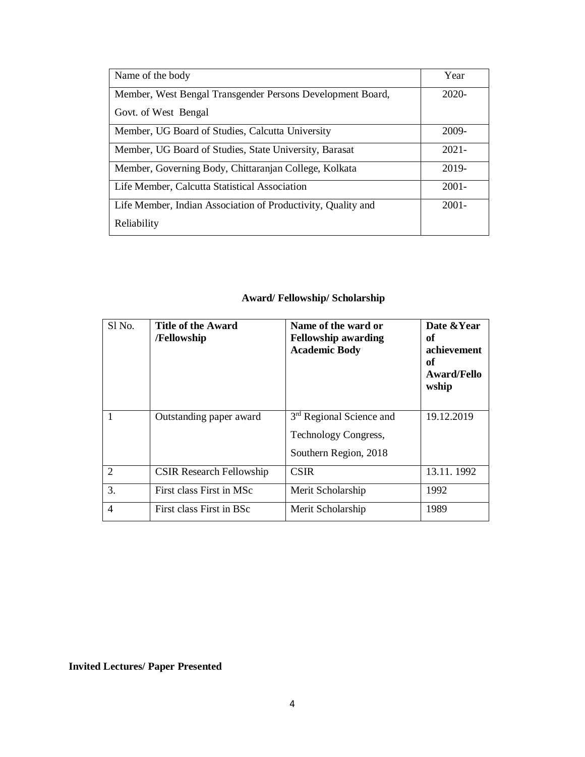| Name of the body                                             | Year     |
|--------------------------------------------------------------|----------|
| Member, West Bengal Transgender Persons Development Board,   | $2020-$  |
| Govt. of West Bengal                                         |          |
| Member, UG Board of Studies, Calcutta University             | 2009-    |
| Member, UG Board of Studies, State University, Barasat       | $2021 -$ |
| Member, Governing Body, Chittaranjan College, Kolkata        | 2019-    |
| Life Member, Calcutta Statistical Association                | $2001 -$ |
| Life Member, Indian Association of Productivity, Quality and | $2001 -$ |
| Reliability                                                  |          |

# **Award/ Fellowship/ Scholarship**

| Sl <sub>No.</sub> | <b>Title of the Award</b><br>/Fellowship | Name of the ward or<br><b>Fellowship awarding</b><br><b>Academic Body</b> | Date & Year<br>оf<br>achievement<br>оf<br>Award/Fello<br>wship |
|-------------------|------------------------------------------|---------------------------------------------------------------------------|----------------------------------------------------------------|
|                   | Outstanding paper award                  | 3 <sup>rd</sup> Regional Science and                                      | 19.12.2019                                                     |
|                   |                                          | <b>Technology Congress,</b>                                               |                                                                |
|                   |                                          | Southern Region, 2018                                                     |                                                                |
| $\overline{2}$    | <b>CSIR Research Fellowship</b>          | <b>CSIR</b>                                                               | 13.11.1992                                                     |
| 3.                | First class First in MSc                 | Merit Scholarship                                                         | 1992                                                           |
| $\overline{4}$    | First class First in BSc                 | Merit Scholarship                                                         | 1989                                                           |

**Invited Lectures/ Paper Presented**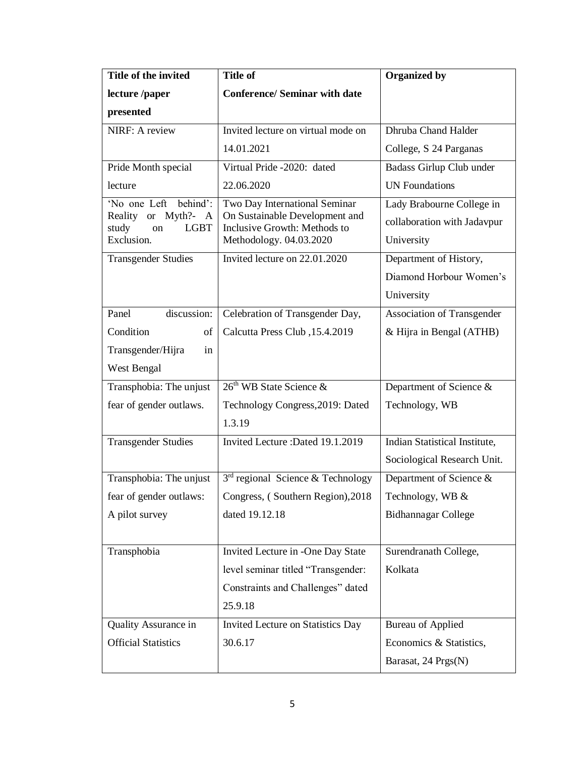| Title of the invited                              | <b>Title of</b>                                                | <b>Organized by</b>               |
|---------------------------------------------------|----------------------------------------------------------------|-----------------------------------|
| lecture /paper                                    | <b>Conference/ Seminar with date</b>                           |                                   |
| presented                                         |                                                                |                                   |
| NIRF: A review                                    | Invited lecture on virtual mode on                             | Dhruba Chand Halder               |
|                                                   | 14.01.2021                                                     | College, S 24 Parganas            |
| Pride Month special                               | Virtual Pride -2020: dated                                     | Badass Girlup Club under          |
| lecture                                           | 22.06.2020                                                     | <b>UN Foundations</b>             |
| 'No one Left behind':                             | Two Day International Seminar                                  | Lady Brabourne College in         |
| Reality or Myth?- A<br><b>LGBT</b><br>study<br>on | On Sustainable Development and<br>Inclusive Growth: Methods to | collaboration with Jadavpur       |
| Exclusion.                                        | Methodology. 04.03.2020                                        | University                        |
| <b>Transgender Studies</b>                        | Invited lecture on 22.01.2020                                  | Department of History,            |
|                                                   |                                                                | Diamond Horbour Women's           |
|                                                   |                                                                | University                        |
| discussion:<br>Panel                              | Celebration of Transgender Day,                                | <b>Association of Transgender</b> |
| Condition<br>οf                                   | Calcutta Press Club, 15.4.2019                                 | & Hijra in Bengal (ATHB)          |
| Transgender/Hijra<br>in                           |                                                                |                                   |
| West Bengal                                       |                                                                |                                   |
| Transphobia: The unjust                           | 26 <sup>th</sup> WB State Science &                            | Department of Science &           |
| fear of gender outlaws.                           | Technology Congress, 2019: Dated                               | Technology, WB                    |
|                                                   | 1.3.19                                                         |                                   |
| <b>Transgender Studies</b>                        | Invited Lecture : Dated 19.1.2019                              | Indian Statistical Institute,     |
|                                                   |                                                                | Sociological Research Unit.       |
| Transphobia: The unjust                           | $3rd$ regional Science & Technology                            | Department of Science &           |
| fear of gender outlaws:                           | Congress, (Southern Region), 2018                              | Technology, WB &                  |
| A pilot survey                                    | dated 19.12.18                                                 | <b>Bidhannagar College</b>        |
|                                                   |                                                                |                                   |
| Transphobia                                       | Invited Lecture in -One Day State                              | Surendranath College,             |
|                                                   | level seminar titled "Transgender:                             | Kolkata                           |
|                                                   | Constraints and Challenges" dated                              |                                   |
|                                                   | 25.9.18                                                        |                                   |
| Quality Assurance in                              | <b>Invited Lecture on Statistics Day</b>                       | <b>Bureau of Applied</b>          |
| <b>Official Statistics</b>                        | 30.6.17                                                        | Economics & Statistics,           |
|                                                   |                                                                |                                   |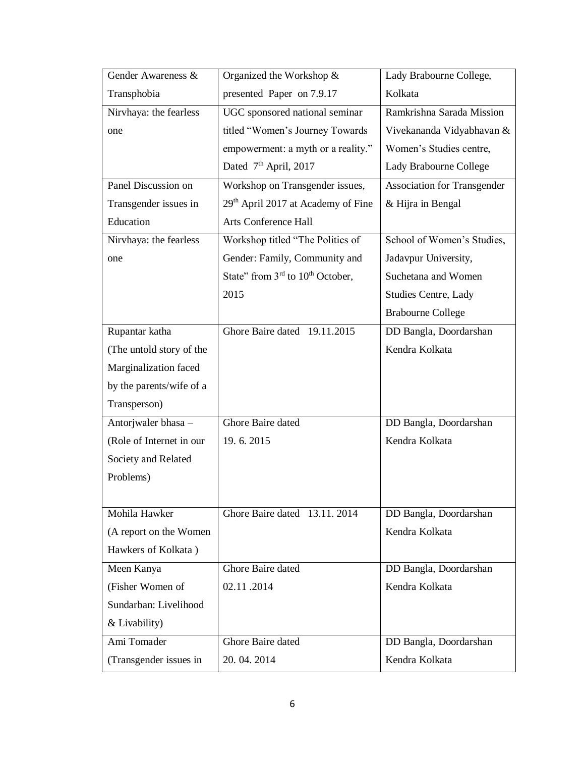| Gender Awareness &       | Organized the Workshop &                       | Lady Brabourne College,            |
|--------------------------|------------------------------------------------|------------------------------------|
| Transphobia              | presented Paper on 7.9.17                      | Kolkata                            |
| Nirvhaya: the fearless   | UGC sponsored national seminar                 | Ramkrishna Sarada Mission          |
| one                      | titled "Women's Journey Towards                | Vivekananda Vidyabhavan &          |
|                          | empowerment: a myth or a reality."             | Women's Studies centre,            |
|                          | Dated 7 <sup>th</sup> April, 2017              | Lady Brabourne College             |
| Panel Discussion on      | Workshop on Transgender issues,                | <b>Association for Transgender</b> |
| Transgender issues in    | 29 <sup>th</sup> April 2017 at Academy of Fine | & Hijra in Bengal                  |
| Education                | Arts Conference Hall                           |                                    |
| Nirvhaya: the fearless   | Workshop titled "The Politics of               | School of Women's Studies,         |
| one                      | Gender: Family, Community and                  | Jadavpur University,               |
|                          | State" from $3rd$ to $10th$ October,           | Suchetana and Women                |
|                          | 2015                                           | <b>Studies Centre, Lady</b>        |
|                          |                                                | <b>Brabourne College</b>           |
| Rupantar katha           | Ghore Baire dated 19.11.2015                   | DD Bangla, Doordarshan             |
| (The untold story of the |                                                | Kendra Kolkata                     |
| Marginalization faced    |                                                |                                    |
| by the parents/wife of a |                                                |                                    |
| Transperson)             |                                                |                                    |
| Antorjwaler bhasa -      | Ghore Baire dated                              | DD Bangla, Doordarshan             |
| (Role of Internet in our | 19.6.2015                                      | Kendra Kolkata                     |
| Society and Related      |                                                |                                    |
| Problems)                |                                                |                                    |
|                          |                                                |                                    |
| Mohila Hawker            | Ghore Baire dated 13.11.2014                   | DD Bangla, Doordarshan             |
| (A report on the Women   |                                                | Kendra Kolkata                     |
| Hawkers of Kolkata)      |                                                |                                    |
| Meen Kanya               | Ghore Baire dated                              | DD Bangla, Doordarshan             |
| (Fisher Women of         | 02.11.2014                                     | Kendra Kolkata                     |
| Sundarban: Livelihood    |                                                |                                    |
| & Livability)            |                                                |                                    |
| Ami Tomader              | Ghore Baire dated                              | DD Bangla, Doordarshan             |
| (Transgender issues in   | 20.04.2014                                     | Kendra Kolkata                     |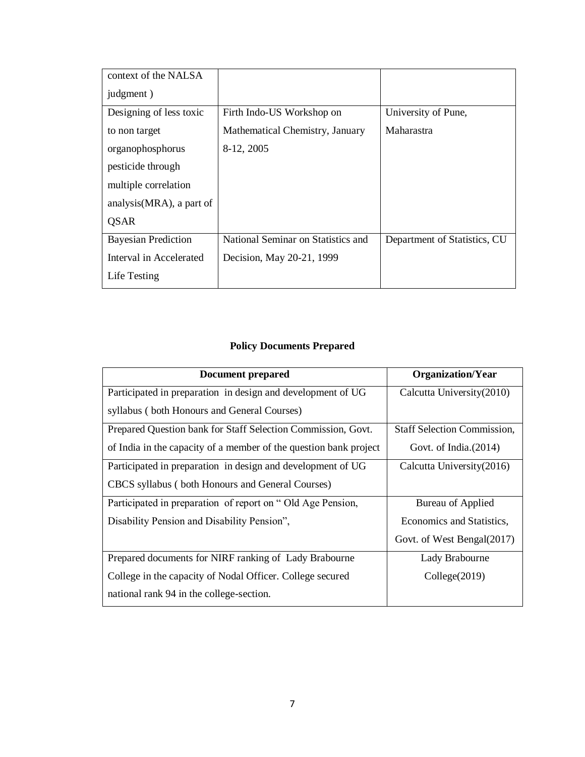| context of the NALSA       |                                    |                              |
|----------------------------|------------------------------------|------------------------------|
| judgment)                  |                                    |                              |
| Designing of less toxic    | Firth Indo-US Workshop on          | University of Pune,          |
| to non target              | Mathematical Chemistry, January    | Maharastra                   |
| organophosphorus           | 8-12, 2005                         |                              |
| pesticide through          |                                    |                              |
| multiple correlation       |                                    |                              |
| analysis (MRA), a part of  |                                    |                              |
| <b>OSAR</b>                |                                    |                              |
| <b>Bayesian Prediction</b> | National Seminar on Statistics and | Department of Statistics, CU |
| Interval in Accelerated    | Decision, May 20-21, 1999          |                              |
| Life Testing               |                                    |                              |

# **Policy Documents Prepared**

| <b>Document prepared</b>                                          | <b>Organization/Year</b>           |
|-------------------------------------------------------------------|------------------------------------|
| Participated in preparation in design and development of UG       | Calcutta University (2010)         |
| syllabus (both Honours and General Courses)                       |                                    |
| Prepared Question bank for Staff Selection Commission, Govt.      | <b>Staff Selection Commission,</b> |
| of India in the capacity of a member of the question bank project | Govt. of India. $(2014)$           |
| Participated in preparation in design and development of UG       | Calcutta University (2016)         |
| CBCS syllabus (both Honours and General Courses)                  |                                    |
| Participated in preparation of report on "Old Age Pension,        | Bureau of Applied                  |
| Disability Pension and Disability Pension",                       | Economics and Statistics,          |
|                                                                   | Govt. of West Bengal(2017)         |
| Prepared documents for NIRF ranking of Lady Brabourne             | Lady Brabourne                     |
| College in the capacity of Nodal Officer. College secured         | Collect(2019)                      |
| national rank 94 in the college-section.                          |                                    |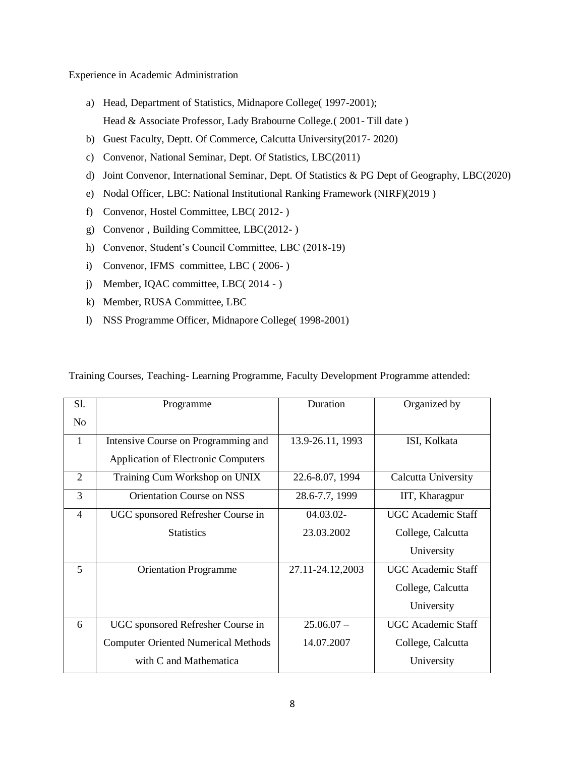Experience in Academic Administration

- a) Head, Department of Statistics, Midnapore College( 1997-2001); Head & Associate Professor, Lady Brabourne College.( 2001- Till date )
- b) Guest Faculty, Deptt. Of Commerce, Calcutta University(2017- 2020)
- c) Convenor, National Seminar, Dept. Of Statistics, LBC(2011)
- d) Joint Convenor, International Seminar, Dept. Of Statistics & PG Dept of Geography, LBC(2020)
- e) Nodal Officer, LBC: National Institutional Ranking Framework (NIRF)(2019 )
- f) Convenor, Hostel Committee, LBC( 2012- )
- g) Convenor , Building Committee, LBC(2012- )
- h) Convenor, Student's Council Committee, LBC (2018-19)
- i) Convenor, IFMS committee, LBC ( 2006- )
- j) Member, IQAC committee, LBC( 2014 )
- k) Member, RUSA Committee, LBC
- l) NSS Programme Officer, Midnapore College( 1998-2001)

| S1.            | Programme                                  | Duration         | Organized by              |
|----------------|--------------------------------------------|------------------|---------------------------|
| N <sub>o</sub> |                                            |                  |                           |
| 1              | Intensive Course on Programming and        | 13.9-26.11, 1993 | ISI, Kolkata              |
|                | <b>Application of Electronic Computers</b> |                  |                           |
| 2              | Training Cum Workshop on UNIX              | 22.6-8.07, 1994  | Calcutta University       |
| 3              | <b>Orientation Course on NSS</b>           | 28.6-7.7, 1999   | IIT, Kharagpur            |
| $\overline{4}$ | UGC sponsored Refresher Course in          | 04.03.02-        | <b>UGC</b> Academic Staff |
|                | <b>Statistics</b>                          | 23.03.2002       | College, Calcutta         |
|                |                                            |                  | University                |
| 5              | <b>Orientation Programme</b>               | 27.11-24.12,2003 | UGC Academic Staff        |
|                |                                            |                  | College, Calcutta         |
|                |                                            |                  | University                |
| 6              | UGC sponsored Refresher Course in          | $25.06.07 -$     | <b>UGC</b> Academic Staff |
|                | <b>Computer Oriented Numerical Methods</b> | 14.07.2007       | College, Calcutta         |
|                | with C and Mathematica                     |                  | University                |

Training Courses, Teaching- Learning Programme, Faculty Development Programme attended: